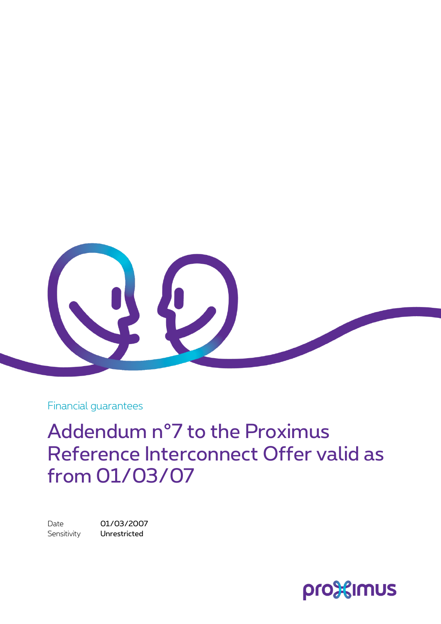

Financial guarantees

Addendum n°7 to the Proximus Reference Interconnect Offer valid as from 01/03/07

Date 01/03/2007 Sensitivity **Unrestricted** 

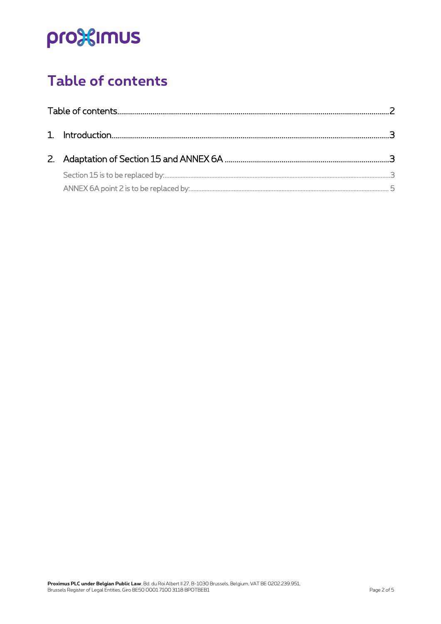# pro<sup>32</sup>imus

## <span id="page-1-0"></span>**Table of contents**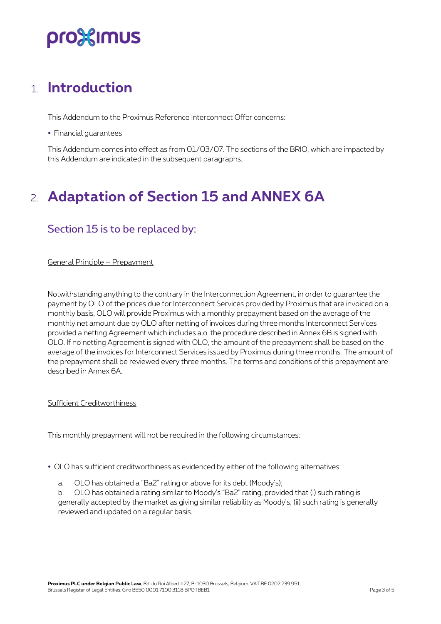## pro%imus

### <span id="page-2-0"></span>1. **Introduction**

This Addendum to the Proximus Reference Interconnect Offer concerns:

Financial guarantees

<span id="page-2-1"></span>This Addendum comes into effect as from 01/03/07. The sections of the BRIO, which are impacted by this Addendum are indicated in the subsequent paragraphs.

### 2. **Adaptation of Section 15 and ANNEX 6A**

### <span id="page-2-2"></span>Section 15 is to be replaced by:

General Principle – Prepayment

Notwithstanding anything to the contrary in the Interconnection Agreement, in order to guarantee the payment by OLO of the prices due for Interconnect Services provided by Proximus that are invoiced on a monthly basis, OLO will provide Proximus with a monthly prepayment based on the average of the monthly net amount due by OLO after netting of invoices during three months Interconnect Services provided a netting Agreement which includes a.o. the procedure described in Annex 6B is signed with OLO. If no netting Agreement is signed with OLO, the amount of the prepayment shall be based on the average of the invoices for Interconnect Services issued by Proximus during three months. The amount of the prepayment shall be reviewed every three months. The terms and conditions of this prepayment are described in Annex 6A.

#### Sufficient Creditworthiness

This monthly prepayment will not be required in the following circumstances:

- OLO has sufficient creditworthiness as evidenced by either of the following alternatives:
	- a. OLO has obtained a "Ba2" rating or above for its debt (Moody's);

b. OLO has obtained a rating similar to Moody's "Ba2" rating, provided that (i) such rating is generally accepted by the market as giving similar reliability as Moody's, (ii) such rating is generally reviewed and updated on a regular basis.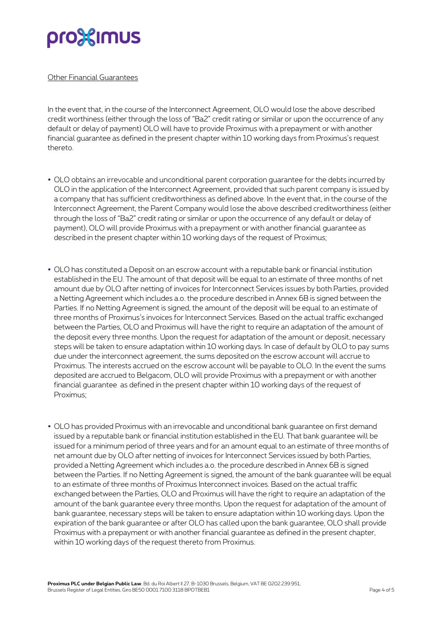## pro%imus

#### Other Financial Guarantees

In the event that, in the course of the Interconnect Agreement, OLO would lose the above described credit worthiness (either through the loss of "Ba2" credit rating or similar or upon the occurrence of any default or delay of payment) OLO will have to provide Proximus with a prepayment or with another financial guarantee as defined in the present chapter within 10 working days from Proximus's request thereto.

- OLO obtains an irrevocable and unconditional parent corporation guarantee for the debts incurred by OLO in the application of the Interconnect Agreement, provided that such parent company is issued by a company that has sufficient creditworthiness as defined above. In the event that, in the course of the Interconnect Agreement, the Parent Company would lose the above described creditworthiness (either through the loss of "Ba2" credit rating or similar or upon the occurrence of any default or delay of payment), OLO will provide Proximus with a prepayment or with another financial guarantee as described in the present chapter within 10 working days of the request of Proximus;
- OLO has constituted a Deposit on an escrow account with a reputable bank or financial institution established in the EU. The amount of that deposit will be equal to an estimate of three months of net amount due by OLO after netting of invoices for Interconnect Services issues by both Parties, provided a Netting Agreement which includes a.o. the procedure described in Annex 6B is signed between the Parties. If no Netting Agreement is signed, the amount of the deposit will be equal to an estimate of three months of Proximus's invoices for Interconnect Services. Based on the actual traffic exchanged between the Parties, OLO and Proximus will have the right to require an adaptation of the amount of the deposit every three months. Upon the request for adaptation of the amount or deposit, necessary steps will be taken to ensure adaptation within 10 working days. In case of default by OLO to pay sums due under the interconnect agreement, the sums deposited on the escrow account will accrue to Proximus. The interests accrued on the escrow account will be payable to OLO. In the event the sums deposited are accrued to Belgacom, OLO will provide Proximus with a prepayment or with another financial guarantee as defined in the present chapter within 10 working days of the request of Proximus;
- OLO has provided Proximus with an irrevocable and unconditional bank guarantee on first demand issued by a reputable bank or financial institution established in the EU. That bank guarantee will be issued for a minimum period of three years and for an amount equal to an estimate of three months of net amount due by OLO after netting of invoices for Interconnect Services issued by both Parties, provided a Netting Agreement which includes a.o. the procedure described in Annex 6B is signed between the Parties. If no Netting Agreement is signed, the amount of the bank guarantee will be equal to an estimate of three months of Proximus Interconnect invoices. Based on the actual traffic exchanged between the Parties, OLO and Proximus will have the right to require an adaptation of the amount of the bank guarantee every three months. Upon the request for adaptation of the amount of bank guarantee, necessary steps will be taken to ensure adaptation within 10 working days. Upon the expiration of the bank guarantee or after OLO has called upon the bank guarantee, OLO shall provide Proximus with a prepayment or with another financial guarantee as defined in the present chapter, within 10 working days of the request thereto from Proximus.